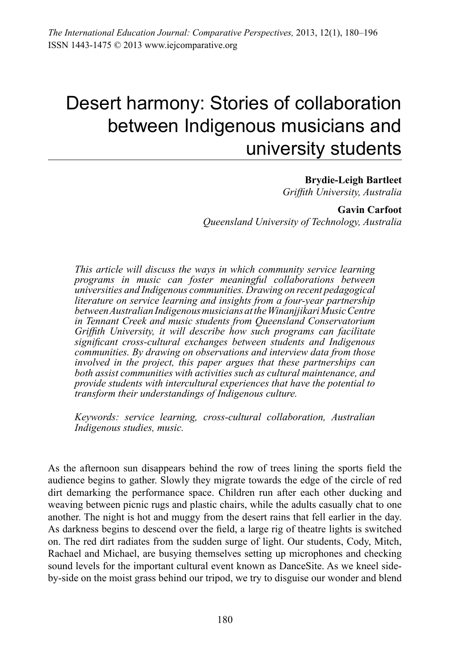# Desert harmony: Stories of collaboration between Indigenous musicians and university students

**Brydie-Leigh Bartleet** *Griffith University, Australia* 

**Gavin Carfoot** *Queensland University of Technology, Australia*

*This article will discuss the ways in which community service learning programs in music can foster meaningful collaborations between universities and Indigenous communities. Drawing on recent pedagogical literature on service learning and insights from a four-year partnership between Australian Indigenous musicians at the Winanjjikari Music Centre in Tennant Creek and music students from Queensland Conservatorium Griffith University, it will describe how such programs can facilitate significant cross-cultural exchanges between students and Indigenous communities. By drawing on observations and interview data from those involved in the project, this paper argues that these partnerships can both assist communities with activities such as cultural maintenance, and provide students with intercultural experiences that have the potential to transform their understandings of Indigenous culture.*

*Keywords: service learning, cross-cultural collaboration, Australian Indigenous studies, music.*

As the afternoon sun disappears behind the row of trees lining the sports field the audience begins to gather. Slowly they migrate towards the edge of the circle of red dirt demarking the performance space. Children run after each other ducking and weaving between picnic rugs and plastic chairs, while the adults casually chat to one another. The night is hot and muggy from the desert rains that fell earlier in the day. As darkness begins to descend over the field, a large rig of theatre lights is switched on. The red dirt radiates from the sudden surge of light. Our students, Cody, Mitch, Rachael and Michael, are busying themselves setting up microphones and checking sound levels for the important cultural event known as DanceSite. As we kneel sideby-side on the moist grass behind our tripod, we try to disguise our wonder and blend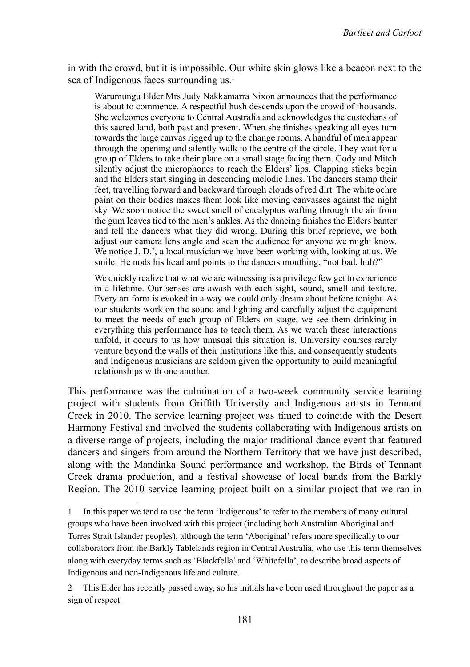in with the crowd, but it is impossible. Our white skin glows like a beacon next to the sea of Indigenous faces surrounding us.<sup>1</sup>

Warumungu Elder Mrs Judy Nakkamarra Nixon announces that the performance is about to commence. A respectful hush descends upon the crowd of thousands. She welcomes everyone to Central Australia and acknowledges the custodians of this sacred land, both past and present. When she finishes speaking all eyes turn towards the large canvas rigged up to the change rooms. A handful of men appear through the opening and silently walk to the centre of the circle. They wait for a group of Elders to take their place on a small stage facing them. Cody and Mitch silently adjust the microphones to reach the Elders' lips. Clapping sticks begin and the Elders start singing in descending melodic lines. The dancers stamp their feet, travelling forward and backward through clouds of red dirt. The white ochre paint on their bodies makes them look like moving canvasses against the night sky. We soon notice the sweet smell of eucalyptus wafting through the air from the gum leaves tied to the men's ankles. As the dancing finishes the Elders banter and tell the dancers what they did wrong. During this brief reprieve, we both adjust our camera lens angle and scan the audience for anyone we might know. We notice J.  $D^2$ , a local musician we have been working with, looking at us. We smile. He nods his head and points to the dancers mouthing, "not bad, huh?"

We quickly realize that what we are witnessing is a privilege few get to experience in a lifetime. Our senses are awash with each sight, sound, smell and texture. Every art form is evoked in a way we could only dream about before tonight. As our students work on the sound and lighting and carefully adjust the equipment to meet the needs of each group of Elders on stage, we see them drinking in everything this performance has to teach them. As we watch these interactions unfold, it occurs to us how unusual this situation is. University courses rarely venture beyond the walls of their institutions like this, and consequently students and Indigenous musicians are seldom given the opportunity to build meaningful relationships with one another.

This performance was the culmination of a two-week community service learning project with students from Griffith University and Indigenous artists in Tennant Creek in 2010. The service learning project was timed to coincide with the Desert Harmony Festival and involved the students collaborating with Indigenous artists on a diverse range of projects, including the major traditional dance event that featured dancers and singers from around the Northern Territory that we have just described, along with the Mandinka Sound performance and workshop, the Birds of Tennant Creek drama production, and a festival showcase of local bands from the Barkly Region. The 2010 service learning project built on a similar project that we ran in

In this paper we tend to use the term 'Indigenous' to refer to the members of many cultural groups who have been involved with this project (including both Australian Aboriginal and Torres Strait Islander peoples), although the term 'Aboriginal' refers more specifically to our collaborators from the Barkly Tablelands region in Central Australia, who use this term themselves along with everyday terms such as 'Blackfella' and 'Whitefella', to describe broad aspects of Indigenous and non-Indigenous life and culture.

<sup>2</sup> This Elder has recently passed away, so his initials have been used throughout the paper as a sign of respect.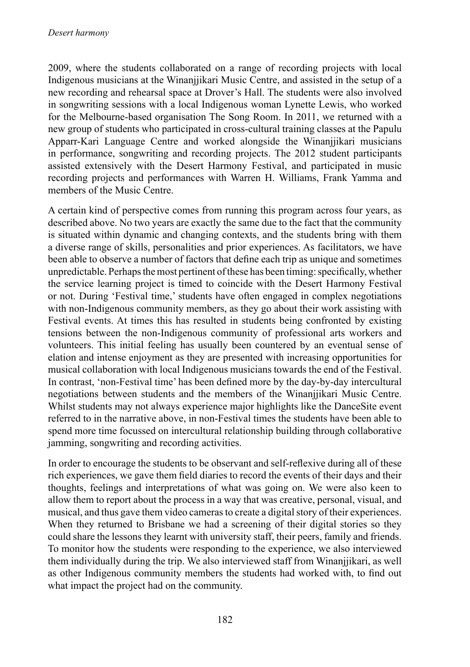2009, where the students collaborated on a range of recording projects with local Indigenous musicians at the Winanjjikari Music Centre, and assisted in the setup of a new recording and rehearsal space at Drover's Hall. The students were also involved in songwriting sessions with a local Indigenous woman Lynette Lewis, who worked for the Melbourne-based organisation The Song Room. In 2011, we returned with a new group of students who participated in cross-cultural training classes at the Papulu Apparr-Kari Language Centre and worked alongside the Winanjjikari musicians in performance, songwriting and recording projects. The 2012 student participants assisted extensively with the Desert Harmony Festival, and participated in music recording projects and performances with Warren H. Williams, Frank Yamma and members of the Music Centre.

A certain kind of perspective comes from running this program across four years, as described above. No two years are exactly the same due to the fact that the community is situated within dynamic and changing contexts, and the students bring with them a diverse range of skills, personalities and prior experiences. As facilitators, we have been able to observe a number of factors that define each trip as unique and sometimes unpredictable. Perhaps the most pertinent of these has been timing: specifically, whether the service learning project is timed to coincide with the Desert Harmony Festival or not. During 'Festival time,' students have often engaged in complex negotiations with non-Indigenous community members, as they go about their work assisting with Festival events. At times this has resulted in students being confronted by existing tensions between the non-Indigenous community of professional arts workers and volunteers. This initial feeling has usually been countered by an eventual sense of elation and intense enjoyment as they are presented with increasing opportunities for musical collaboration with local Indigenous musicians towards the end of the Festival. In contrast, 'non-Festival time' has been defined more by the day-by-day intercultural negotiations between students and the members of the Winanjjikari Music Centre. Whilst students may not always experience major highlights like the DanceSite event referred to in the narrative above, in non-Festival times the students have been able to spend more time focussed on intercultural relationship building through collaborative jamming, songwriting and recording activities.

In order to encourage the students to be observant and self-reflexive during all of these rich experiences, we gave them field diaries to record the events of their days and their thoughts, feelings and interpretations of what was going on. We were also keen to allow them to report about the process in a way that was creative, personal, visual, and musical, and thus gave them video cameras to create a digital story of their experiences. When they returned to Brisbane we had a screening of their digital stories so they could share the lessons they learnt with university staff, their peers, family and friends. To monitor how the students were responding to the experience, we also interviewed them individually during the trip. We also interviewed staff from Winanjjikari, as well as other Indigenous community members the students had worked with, to find out what impact the project had on the community.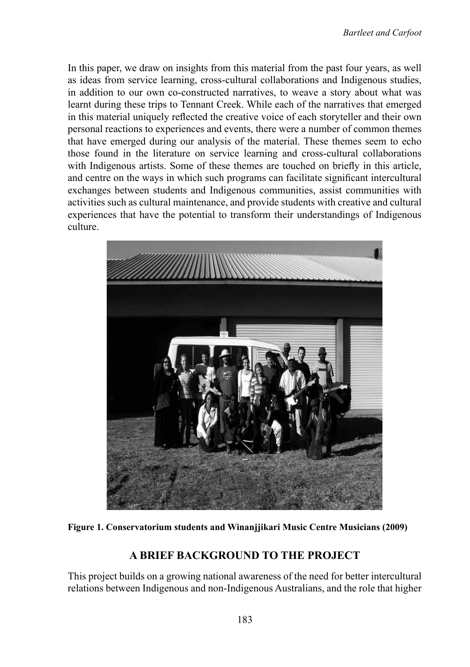In this paper, we draw on insights from this material from the past four years, as well as ideas from service learning, cross-cultural collaborations and Indigenous studies, in addition to our own co-constructed narratives, to weave a story about what was learnt during these trips to Tennant Creek. While each of the narratives that emerged in this material uniquely reflected the creative voice of each storyteller and their own personal reactions to experiences and events, there were a number of common themes that have emerged during our analysis of the material. These themes seem to echo those found in the literature on service learning and cross-cultural collaborations with Indigenous artists. Some of these themes are touched on briefly in this article, and centre on the ways in which such programs can facilitate significant intercultural exchanges between students and Indigenous communities, assist communities with activities such as cultural maintenance, and provide students with creative and cultural experiences that have the potential to transform their understandings of Indigenous culture.



**Figure 1. Conservatorium students and Winanjjikari Music Centre Musicians (2009)**

# **A brief background to The Project**

This project builds on a growing national awareness of the need for better intercultural relations between Indigenous and non-Indigenous Australians, and the role that higher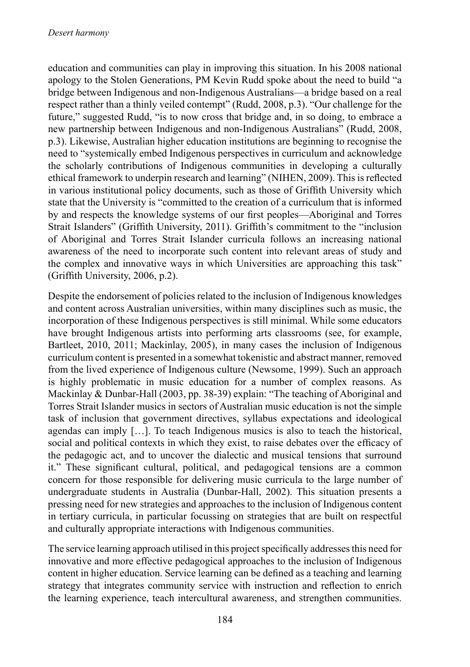education and communities can play in improving this situation. In his 2008 national apology to the Stolen Generations, PM Kevin Rudd spoke about the need to build "a bridge between Indigenous and non-Indigenous Australians—a bridge based on a real respect rather than a thinly veiled contempt" (Rudd, 2008, p.3). "Our challenge for the future," suggested Rudd, "is to now cross that bridge and, in so doing, to embrace a new partnership between Indigenous and non-Indigenous Australians" (Rudd, 2008, p.3). Likewise, Australian higher education institutions are beginning to recognise the need to "systemically embed Indigenous perspectives in curriculum and acknowledge the scholarly contributions of Indigenous communities in developing a culturally ethical framework to underpin research and learning" (NIHEN, 2009). This is reflected in various institutional policy documents, such as those of Griffith University which state that the University is "committed to the creation of a curriculum that is informed by and respects the knowledge systems of our first peoples—Aboriginal and Torres Strait Islanders" (Griffith University, 2011). Griffith's commitment to the "inclusion of Aboriginal and Torres Strait Islander curricula follows an increasing national awareness of the need to incorporate such content into relevant areas of study and the complex and innovative ways in which Universities are approaching this task" (Griffith University, 2006, p.2).

Despite the endorsement of policies related to the inclusion of Indigenous knowledges and content across Australian universities, within many disciplines such as music, the incorporation of these Indigenous perspectives is still minimal. While some educators have brought Indigenous artists into performing arts classrooms (see, for example, Bartleet, 2010, 2011; Mackinlay, 2005), in many cases the inclusion of Indigenous curriculum content is presented in a somewhat tokenistic and abstract manner, removed from the lived experience of Indigenous culture (Newsome, 1999). Such an approach is highly problematic in music education for a number of complex reasons. As Mackinlay & Dunbar-Hall (2003, pp. 38-39) explain: "The teaching of Aboriginal and Torres Strait Islander musics in sectors of Australian music education is not the simple task of inclusion that government directives, syllabus expectations and ideological agendas can imply […]. To teach Indigenous musics is also to teach the historical, social and political contexts in which they exist, to raise debates over the efficacy of the pedagogic act, and to uncover the dialectic and musical tensions that surround it." These significant cultural, political, and pedagogical tensions are a common concern for those responsible for delivering music curricula to the large number of undergraduate students in Australia (Dunbar-Hall, 2002). This situation presents a pressing need for new strategies and approaches to the inclusion of Indigenous content in tertiary curricula, in particular focussing on strategies that are built on respectful and culturally appropriate interactions with Indigenous communities.

The service learning approach utilised in this project specifically addresses this need for innovative and more effective pedagogical approaches to the inclusion of Indigenous content in higher education. Service learning can be defined as a teaching and learning strategy that integrates community service with instruction and reflection to enrich the learning experience, teach intercultural awareness, and strengthen communities.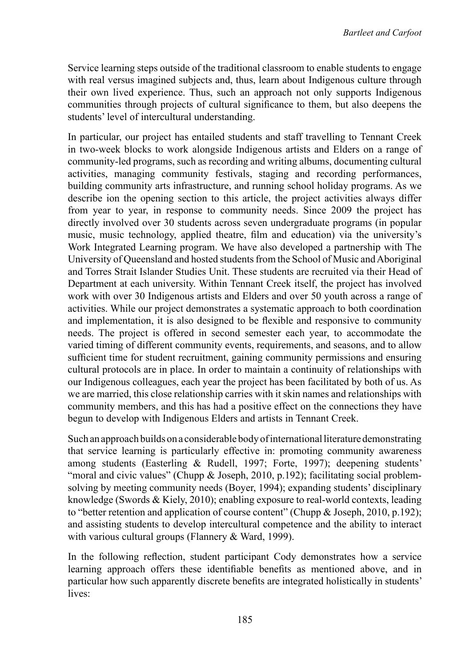Service learning steps outside of the traditional classroom to enable students to engage with real versus imagined subjects and, thus, learn about Indigenous culture through their own lived experience. Thus, such an approach not only supports Indigenous communities through projects of cultural significance to them, but also deepens the students' level of intercultural understanding.

In particular, our project has entailed students and staff travelling to Tennant Creek in two-week blocks to work alongside Indigenous artists and Elders on a range of community-led programs, such as recording and writing albums, documenting cultural activities, managing community festivals, staging and recording performances, building community arts infrastructure, and running school holiday programs. As we describe ion the opening section to this article, the project activities always differ from year to year, in response to community needs. Since 2009 the project has directly involved over 30 students across seven undergraduate programs (in popular music, music technology, applied theatre, film and education) via the university's Work Integrated Learning program. We have also developed a partnership with The University of Queensland and hosted students from the School of Music and Aboriginal and Torres Strait Islander Studies Unit. These students are recruited via their Head of Department at each university. Within Tennant Creek itself, the project has involved work with over 30 Indigenous artists and Elders and over 50 youth across a range of activities. While our project demonstrates a systematic approach to both coordination and implementation, it is also designed to be flexible and responsive to community needs. The project is offered in second semester each year, to accommodate the varied timing of different community events, requirements, and seasons, and to allow sufficient time for student recruitment, gaining community permissions and ensuring cultural protocols are in place. In order to maintain a continuity of relationships with our Indigenous colleagues, each year the project has been facilitated by both of us. As we are married, this close relationship carries with it skin names and relationships with community members, and this has had a positive effect on the connections they have begun to develop with Indigenous Elders and artists in Tennant Creek.

Such an approach builds on a considerable body of international literature demonstrating that service learning is particularly effective in: promoting community awareness among students (Easterling & Rudell, 1997; Forte, 1997); deepening students' "moral and civic values" (Chupp & Joseph, 2010, p.192); facilitating social problemsolving by meeting community needs (Boyer, 1994); expanding students' disciplinary knowledge (Swords & Kiely, 2010); enabling exposure to real-world contexts, leading to "better retention and application of course content" (Chupp & Joseph, 2010, p.192); and assisting students to develop intercultural competence and the ability to interact with various cultural groups (Flannery & Ward, 1999).

In the following reflection, student participant Cody demonstrates how a service learning approach offers these identifiable benefits as mentioned above, and in particular how such apparently discrete benefits are integrated holistically in students' lives: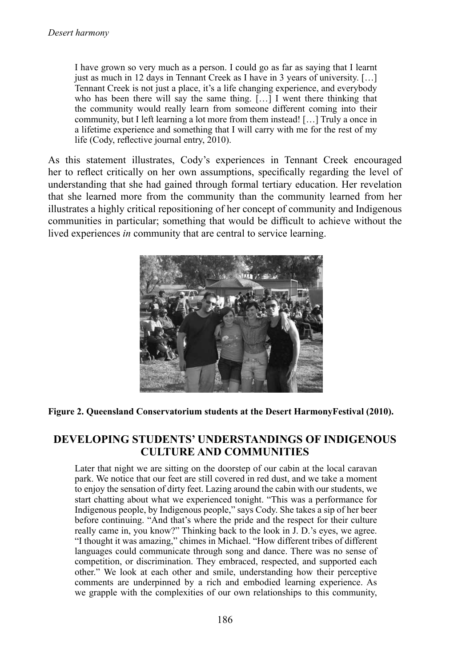I have grown so very much as a person. I could go as far as saying that I learnt just as much in 12 days in Tennant Creek as I have in 3 years of university. […] Tennant Creek is not just a place, it's a life changing experience, and everybody who has been there will say the same thing. [...] I went there thinking that the community would really learn from someone different coming into their community, but I left learning a lot more from them instead! […] Truly a once in a lifetime experience and something that I will carry with me for the rest of my life (Cody, reflective journal entry, 2010).

As this statement illustrates, Cody's experiences in Tennant Creek encouraged her to reflect critically on her own assumptions, specifically regarding the level of understanding that she had gained through formal tertiary education. Her revelation that she learned more from the community than the community learned from her illustrates a highly critical repositioning of her concept of community and Indigenous communities in particular; something that would be difficult to achieve without the lived experiences *in* community that are central to service learning.



#### **Figure 2. Queensland Conservatorium students at the Desert HarmonyFestival (2010).**

## **Developing students' understandings of Indigenous culture and communities**

Later that night we are sitting on the doorstep of our cabin at the local caravan park. We notice that our feet are still covered in red dust, and we take a moment to enjoy the sensation of dirty feet. Lazing around the cabin with our students, we start chatting about what we experienced tonight. "This was a performance for Indigenous people, by Indigenous people," says Cody. She takes a sip of her beer before continuing. "And that's where the pride and the respect for their culture really came in, you know?" Thinking back to the look in J. D.'s eyes, we agree. "I thought it was amazing," chimes in Michael. "How different tribes of different languages could communicate through song and dance. There was no sense of competition, or discrimination. They embraced, respected, and supported each other." We look at each other and smile, understanding how their perceptive comments are underpinned by a rich and embodied learning experience. As we grapple with the complexities of our own relationships to this community,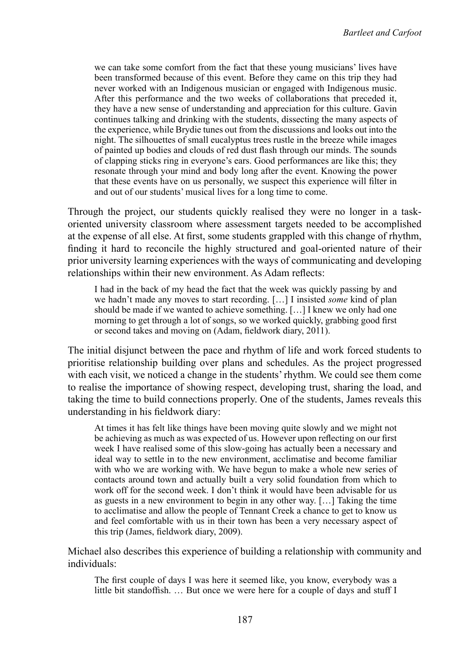we can take some comfort from the fact that these young musicians' lives have been transformed because of this event. Before they came on this trip they had never worked with an Indigenous musician or engaged with Indigenous music. After this performance and the two weeks of collaborations that preceded it, they have a new sense of understanding and appreciation for this culture. Gavin continues talking and drinking with the students, dissecting the many aspects of the experience, while Brydie tunes out from the discussions and looks out into the night. The silhouettes of small eucalyptus trees rustle in the breeze while images of painted up bodies and clouds of red dust flash through our minds. The sounds of clapping sticks ring in everyone's ears. Good performances are like this; they resonate through your mind and body long after the event. Knowing the power that these events have on us personally, we suspect this experience will filter in and out of our students' musical lives for a long time to come.

Through the project, our students quickly realised they were no longer in a taskoriented university classroom where assessment targets needed to be accomplished at the expense of all else. At first, some students grappled with this change of rhythm, finding it hard to reconcile the highly structured and goal-oriented nature of their prior university learning experiences with the ways of communicating and developing relationships within their new environment. As Adam reflects:

I had in the back of my head the fact that the week was quickly passing by and we hadn't made any moves to start recording. […] I insisted *some* kind of plan should be made if we wanted to achieve something. […] I knew we only had one morning to get through a lot of songs, so we worked quickly, grabbing good first or second takes and moving on (Adam, fieldwork diary, 2011).

The initial disjunct between the pace and rhythm of life and work forced students to prioritise relationship building over plans and schedules. As the project progressed with each visit, we noticed a change in the students'rhythm. We could see them come to realise the importance of showing respect, developing trust, sharing the load, and taking the time to build connections properly. One of the students, James reveals this understanding in his fieldwork diary:

At times it has felt like things have been moving quite slowly and we might not be achieving as much as was expected of us. However upon reflecting on our first week I have realised some of this slow-going has actually been a necessary and ideal way to settle in to the new environment, acclimatise and become familiar with who we are working with. We have begun to make a whole new series of contacts around town and actually built a very solid foundation from which to work off for the second week. I don't think it would have been advisable for us as guests in a new environment to begin in any other way. […] Taking the time to acclimatise and allow the people of Tennant Creek a chance to get to know us and feel comfortable with us in their town has been a very necessary aspect of this trip (James, fieldwork diary, 2009).

Michael also describes this experience of building a relationship with community and individuals:

The first couple of days I was here it seemed like, you know, everybody was a little bit standoffish. … But once we were here for a couple of days and stuff I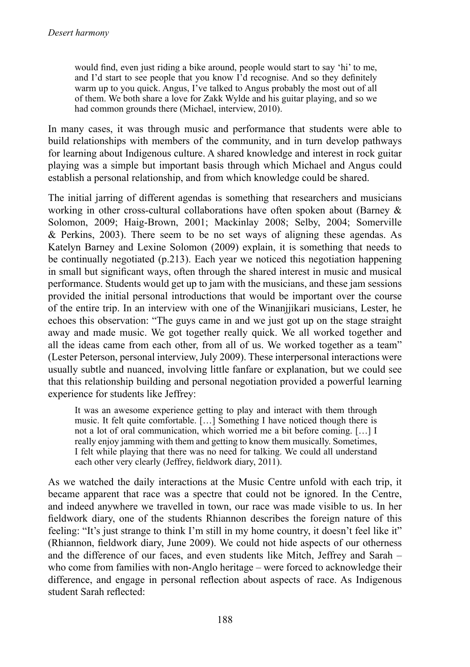would find, even just riding a bike around, people would start to say 'hi' to me, and I'd start to see people that you know I'd recognise. And so they definitely warm up to you quick. Angus, I've talked to Angus probably the most out of all of them. We both share a love for Zakk Wylde and his guitar playing, and so we had common grounds there (Michael, interview, 2010).

In many cases, it was through music and performance that students were able to build relationships with members of the community, and in turn develop pathways for learning about Indigenous culture. A shared knowledge and interest in rock guitar playing was a simple but important basis through which Michael and Angus could establish a personal relationship, and from which knowledge could be shared.

The initial jarring of different agendas is something that researchers and musicians working in other cross-cultural collaborations have often spoken about (Barney & Solomon, 2009; Haig-Brown, 2001; Mackinlay 2008; Selby, 2004; Somerville & Perkins, 2003). There seem to be no set ways of aligning these agendas. As Katelyn Barney and Lexine Solomon (2009) explain, it is something that needs to be continually negotiated (p.213). Each year we noticed this negotiation happening in small but significant ways, often through the shared interest in music and musical performance. Students would get up to jam with the musicians, and these jam sessions provided the initial personal introductions that would be important over the course of the entire trip. In an interview with one of the Winanjjikari musicians, Lester, he echoes this observation: "The guys came in and we just got up on the stage straight away and made music. We got together really quick. We all worked together and all the ideas came from each other, from all of us. We worked together as a team" (Lester Peterson, personal interview, July 2009). These interpersonal interactions were usually subtle and nuanced, involving little fanfare or explanation, but we could see that this relationship building and personal negotiation provided a powerful learning experience for students like Jeffrey:

It was an awesome experience getting to play and interact with them through music. It felt quite comfortable. […] Something I have noticed though there is not a lot of oral communication, which worried me a bit before coming. […] I really enjoy jamming with them and getting to know them musically. Sometimes, I felt while playing that there was no need for talking. We could all understand each other very clearly (Jeffrey, fieldwork diary, 2011).

As we watched the daily interactions at the Music Centre unfold with each trip, it became apparent that race was a spectre that could not be ignored. In the Centre, and indeed anywhere we travelled in town, our race was made visible to us. In her fieldwork diary, one of the students Rhiannon describes the foreign nature of this feeling: "It's just strange to think I'm still in my home country, it doesn't feel like it" (Rhiannon, fieldwork diary, June 2009). We could not hide aspects of our otherness and the difference of our faces, and even students like Mitch, Jeffrey and Sarah – who come from families with non-Anglo heritage – were forced to acknowledge their difference, and engage in personal reflection about aspects of race. As Indigenous student Sarah reflected: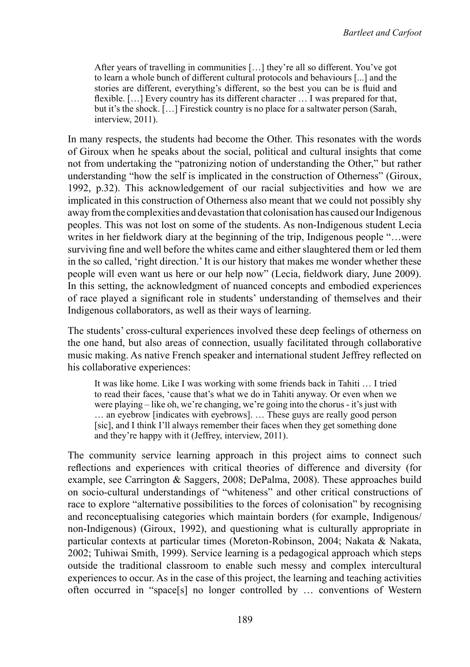After years of travelling in communities […] they're all so different. You've got to learn a whole bunch of different cultural protocols and behaviours [...] and the stories are different, everything's different, so the best you can be is fluid and flexible. […] Every country has its different character … I was prepared for that, but it's the shock. […] Firestick country is no place for a saltwater person (Sarah, interview, 2011).

In many respects, the students had become the Other. This resonates with the words of Giroux when he speaks about the social, political and cultural insights that come not from undertaking the "patronizing notion of understanding the Other," but rather understanding "how the self is implicated in the construction of Otherness" (Giroux, 1992, p.32). This acknowledgement of our racial subjectivities and how we are implicated in this construction of Otherness also meant that we could not possibly shy away fromthe complexities and devastation that colonisation has caused our Indigenous peoples. This was not lost on some of the students. As non-Indigenous student Lecia writes in her fieldwork diary at the beginning of the trip, Indigenous people "…were surviving fine and well before the whites came and either slaughtered them or led them in the so called, 'right direction.' It is our history that makes me wonder whether these people will even want us here or our help now" (Lecia, fieldwork diary, June 2009). In this setting, the acknowledgment of nuanced concepts and embodied experiences of race played a significant role in students' understanding of themselves and their Indigenous collaborators, as well as their ways of learning.

The students' cross-cultural experiences involved these deep feelings of otherness on the one hand, but also areas of connection, usually facilitated through collaborative music making. As native French speaker and international student Jeffrey reflected on his collaborative experiences:

It was like home. Like I was working with some friends back in Tahiti … I tried to read their faces, 'cause that's what we do in Tahiti anyway. Or even when we were playing – like oh, we're changing, we're going into the chorus - it's just with … an eyebrow [indicates with eyebrows]. … These guys are really good person [sic], and I think I'll always remember their faces when they get something done and they're happy with it (Jeffrey, interview, 2011).

The community service learning approach in this project aims to connect such reflections and experiences with critical theories of difference and diversity (for example, see Carrington & Saggers, 2008; DePalma, 2008). These approaches build on socio-cultural understandings of "whiteness" and other critical constructions of race to explore "alternative possibilities to the forces of colonisation" by recognising and reconceptualising categories which maintain borders (for example, Indigenous/ non-Indigenous) (Giroux, 1992), and questioning what is culturally appropriate in particular contexts at particular times (Moreton-Robinson, 2004; Nakata & Nakata, 2002; Tuhiwai Smith, 1999). Service learning is a pedagogical approach which steps outside the traditional classroom to enable such messy and complex intercultural experiences to occur. As in the case of this project, the learning and teaching activities often occurred in "space[s] no longer controlled by … conventions of Western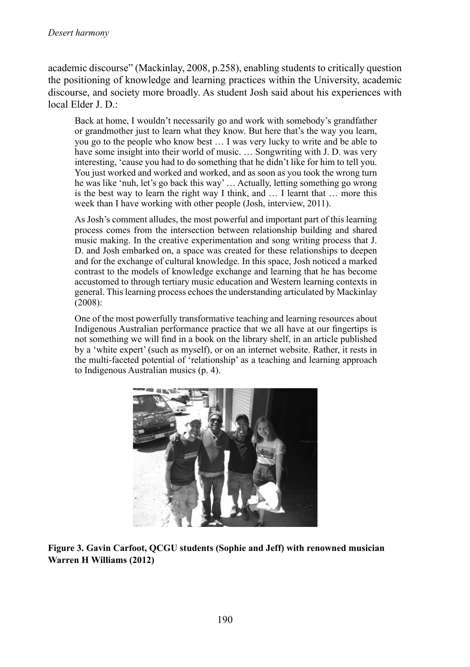academic discourse" (Mackinlay, 2008, p.258), enabling students to critically question the positioning of knowledge and learning practices within the University, academic discourse, and society more broadly. As student Josh said about his experiences with local Elder J.  $D<sup>T</sup>$ 

Back at home, I wouldn't necessarily go and work with somebody's grandfather or grandmother just to learn what they know. But here that's the way you learn, you go to the people who know best … I was very lucky to write and be able to have some insight into their world of music. … Songwriting with J. D. was very interesting, 'cause you had to do something that he didn't like for him to tell you. You just worked and worked and worked, and as soon as you took the wrong turn he was like 'nuh, let's go back this way'… Actually, letting something go wrong is the best way to learn the right way I think, and … I learnt that … more this week than I have working with other people (Josh, interview, 2011).

As Josh's comment alludes, the most powerful and important part of this learning process comes from the intersection between relationship building and shared music making. In the creative experimentation and song writing process that J. D. and Josh embarked on, a space was created for these relationships to deepen and for the exchange of cultural knowledge. In this space, Josh noticed a marked contrast to the models of knowledge exchange and learning that he has become accustomed to through tertiary music education and Western learning contexts in general. This learning process echoes the understanding articulated by Mackinlay (2008):

One of the most powerfully transformative teaching and learning resources about Indigenous Australian performance practice that we all have at our fingertips is not something we will find in a book on the library shelf, in an article published by a 'white expert' (such as myself), or on an internet website. Rather, it rests in the multi-faceted potential of 'relationship' as a teaching and learning approach to Indigenous Australian musics (p. 4).



**Figure 3. Gavin Carfoot, QCGU students (Sophie and Jeff) with renowned musician Warren H Williams (2012)**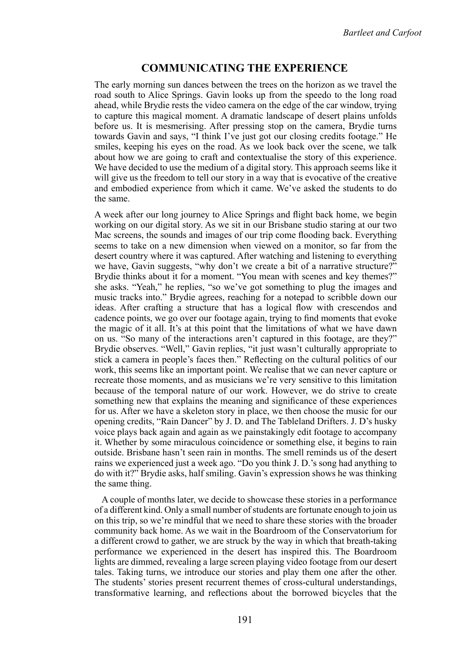#### **Communicating the experience**

The early morning sun dances between the trees on the horizon as we travel the road south to Alice Springs. Gavin looks up from the speedo to the long road ahead, while Brydie rests the video camera on the edge of the car window, trying to capture this magical moment. A dramatic landscape of desert plains unfolds before us. It is mesmerising. After pressing stop on the camera, Brydie turns towards Gavin and says, "I think I've just got our closing credits footage." He smiles, keeping his eyes on the road. As we look back over the scene, we talk about how we are going to craft and contextualise the story of this experience. We have decided to use the medium of a digital story. This approach seems like it will give us the freedom to tell our story in a way that is evocative of the creative and embodied experience from which it came. We've asked the students to do the same.

A week after our long journey to Alice Springs and flight back home, we begin working on our digital story. As we sit in our Brisbane studio staring at our two Mac screens, the sounds and images of our trip come flooding back. Everything seems to take on a new dimension when viewed on a monitor, so far from the desert country where it was captured. After watching and listening to everything we have, Gavin suggests, "why don't we create a bit of a narrative structure?" Brydie thinks about it for a moment. "You mean with scenes and key themes?" she asks. "Yeah," he replies, "so we've got something to plug the images and music tracks into." Brydie agrees, reaching for a notepad to scribble down our ideas. After crafting a structure that has a logical flow with crescendos and cadence points, we go over our footage again, trying to find moments that evoke the magic of it all. It's at this point that the limitations of what we have dawn on us. "So many of the interactions aren't captured in this footage, are they?" Brydie observes. "Well," Gavin replies, "it just wasn't culturally appropriate to stick a camera in people's faces then." Reflecting on the cultural politics of our work, this seems like an important point. We realise that we can never capture or recreate those moments, and as musicians we're very sensitive to this limitation because of the temporal nature of our work. However, we do strive to create something new that explains the meaning and significance of these experiences for us. After we have a skeleton story in place, we then choose the music for our opening credits, "Rain Dancer" by J. D. and The Tableland Drifters. J. D's husky voice plays back again and again as we painstakingly edit footage to accompany it. Whether by some miraculous coincidence or something else, it begins to rain outside. Brisbane hasn't seen rain in months. The smell reminds us of the desert rains we experienced just a week ago. "Do you think J. D.'s song had anything to do with it?" Brydie asks, half smiling. Gavin's expression shows he was thinking the same thing.

 A couple of months later, we decide to showcase these stories in a performance of a different kind. Only a small number of students are fortunate enough to join us on this trip, so we're mindful that we need to share these stories with the broader community back home. As we wait in the Boardroom of the Conservatorium for a different crowd to gather, we are struck by the way in which that breath-taking performance we experienced in the desert has inspired this. The Boardroom lights are dimmed, revealing a large screen playing video footage from our desert tales. Taking turns, we introduce our stories and play them one after the other. The students' stories present recurrent themes of cross-cultural understandings, transformative learning, and reflections about the borrowed bicycles that the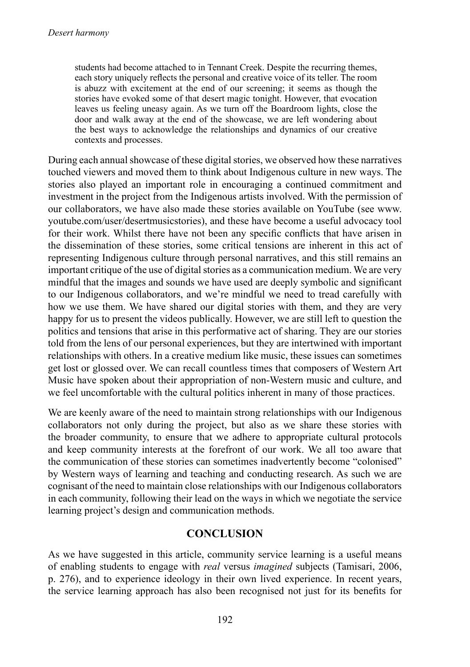students had become attached to in Tennant Creek. Despite the recurring themes, each story uniquely reflects the personal and creative voice of its teller. The room is abuzz with excitement at the end of our screening; it seems as though the stories have evoked some of that desert magic tonight. However, that evocation leaves us feeling uneasy again. As we turn off the Boardroom lights, close the door and walk away at the end of the showcase, we are left wondering about the best ways to acknowledge the relationships and dynamics of our creative contexts and processes.

During each annual showcase of these digital stories, we observed how these narratives touched viewers and moved them to think about Indigenous culture in new ways. The stories also played an important role in encouraging a continued commitment and investment in the project from the Indigenous artists involved. With the permission of our collaborators, we have also made these stories available on YouTube (see www. youtube.com/user/desertmusicstories), and these have become a useful advocacy tool for their work. Whilst there have not been any specific conflicts that have arisen in the dissemination of these stories, some critical tensions are inherent in this act of representing Indigenous culture through personal narratives, and this still remains an important critique of the use of digital stories as a communication medium. We are very mindful that the images and sounds we have used are deeply symbolic and significant to our Indigenous collaborators, and we're mindful we need to tread carefully with how we use them. We have shared our digital stories with them, and they are very happy for us to present the videos publically. However, we are still left to question the politics and tensions that arise in this performative act of sharing. They are our stories told from the lens of our personal experiences, but they are intertwined with important relationships with others. In a creative medium like music, these issues can sometimes get lost or glossed over. We can recall countless times that composers of Western Art Music have spoken about their appropriation of non-Western music and culture, and we feel uncomfortable with the cultural politics inherent in many of those practices.

We are keenly aware of the need to maintain strong relationships with our Indigenous collaborators not only during the project, but also as we share these stories with the broader community, to ensure that we adhere to appropriate cultural protocols and keep community interests at the forefront of our work. We all too aware that the communication of these stories can sometimes inadvertently become "colonised" by Western ways of learning and teaching and conducting research. As such we are cognisant of the need to maintain close relationships with our Indigenous collaborators in each community, following their lead on the ways in which we negotiate the service learning project's design and communication methods.

# **Conclusion**

As we have suggested in this article, community service learning is a useful means of enabling students to engage with *real* versus *imagined* subjects (Tamisari, 2006, p. 276), and to experience ideology in their own lived experience. In recent years, the service learning approach has also been recognised not just for its benefits for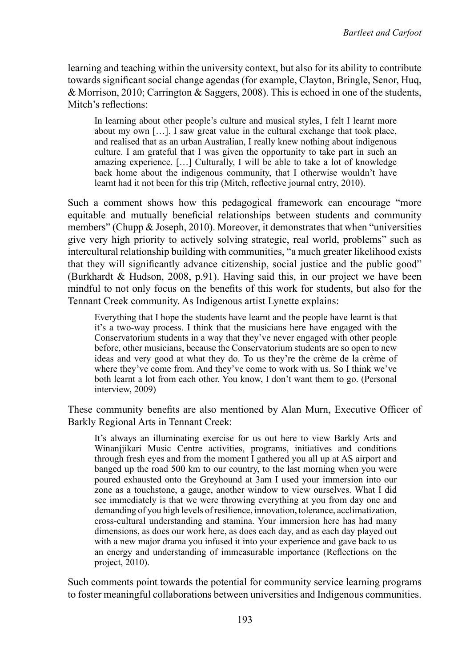learning and teaching within the university context, but also for its ability to contribute towards significant social change agendas (for example, Clayton, Bringle, Senor, Huq, & Morrison, 2010; Carrington & Saggers, 2008). This is echoed in one of the students, Mitch's reflections:

In learning about other people's culture and musical styles, I felt I learnt more about my own […]. I saw great value in the cultural exchange that took place, and realised that as an urban Australian, I really knew nothing about indigenous culture. I am grateful that I was given the opportunity to take part in such an amazing experience. […] Culturally, I will be able to take a lot of knowledge back home about the indigenous community, that I otherwise wouldn't have learnt had it not been for this trip (Mitch, reflective journal entry, 2010).

Such a comment shows how this pedagogical framework can encourage "more equitable and mutually beneficial relationships between students and community members" (Chupp & Joseph, 2010). Moreover, it demonstrates that when "universities give very high priority to actively solving strategic, real world, problems" such as intercultural relationship building with communities, "a much greater likelihood exists that they will significantly advance citizenship, social justice and the public good" (Burkhardt & Hudson, 2008, p.91). Having said this, in our project we have been mindful to not only focus on the benefits of this work for students, but also for the Tennant Creek community. As Indigenous artist Lynette explains:

Everything that I hope the students have learnt and the people have learnt is that it's a two-way process. I think that the musicians here have engaged with the Conservatorium students in a way that they've never engaged with other people before, other musicians, because the Conservatorium students are so open to new ideas and very good at what they do. To us they're the crème de la crème of where they've come from. And they've come to work with us. So I think we've both learnt a lot from each other. You know, I don't want them to go. (Personal interview, 2009)

These community benefits are also mentioned by Alan Murn, Executive Officer of Barkly Regional Arts in Tennant Creek:

It's always an illuminating exercise for us out here to view Barkly Arts and Winanjjikari Music Centre activities, programs, initiatives and conditions through fresh eyes and from the moment I gathered you all up at AS airport and banged up the road 500 km to our country, to the last morning when you were poured exhausted onto the Greyhound at 3am I used your immersion into our zone as a touchstone, a gauge, another window to view ourselves. What I did see immediately is that we were throwing everything at you from day one and demanding of you high levels of resilience, innovation, tolerance, acclimatization, cross-cultural understanding and stamina. Your immersion here has had many dimensions, as does our work here, as does each day, and as each day played out with a new major drama you infused it into your experience and gave back to us an energy and understanding of immeasurable importance (Reflections on the project, 2010).

Such comments point towards the potential for community service learning programs to foster meaningful collaborations between universities and Indigenous communities.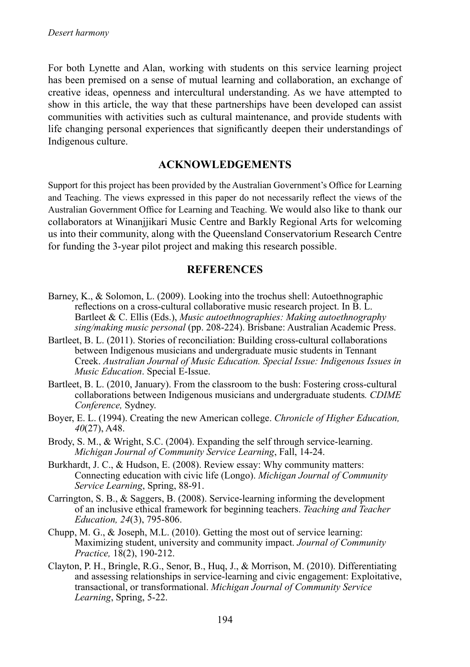For both Lynette and Alan, working with students on this service learning project has been premised on a sense of mutual learning and collaboration, an exchange of creative ideas, openness and intercultural understanding. As we have attempted to show in this article, the way that these partnerships have been developed can assist communities with activities such as cultural maintenance, and provide students with life changing personal experiences that significantly deepen their understandings of Indigenous culture.

## **Acknowledgements**

Support for this project has been provided by the Australian Government's Office for Learning and Teaching. The views expressed in this paper do not necessarily reflect the views of the Australian Government Office for Learning and Teaching. We would also like to thank our collaborators at Winanjjikari Music Centre and Barkly Regional Arts for welcoming us into their community, along with the Queensland Conservatorium Research Centre for funding the 3-year pilot project and making this research possible.

## **References**

- Barney, K., & Solomon, L. (2009). Looking into the trochus shell: Autoethnographic reflections on a cross-cultural collaborative music research project. In B. L. Bartleet & C. Ellis (Eds.), *Music autoethnographies: Making autoethnography sing/making music personal* (pp. 208-224). Brisbane: Australian Academic Press.
- Bartleet, B. L. (2011). Stories of reconciliation: Building cross-cultural collaborations between Indigenous musicians and undergraduate music students in Tennant Creek. *Australian Journal of Music Education. Special Issue: Indigenous Issues in Music Education*. Special E-Issue.
- Bartleet, B. L. (2010, January). From the classroom to the bush: Fostering cross-cultural collaborations between Indigenous musicians and undergraduate students*. CDIME Conference,* Sydney.
- Boyer, E. L. (1994). Creating the new American college. *Chronicle of Higher Education, 40*(27), A48.
- Brody, S. M., & Wright, S.C. (2004). Expanding the self through service-learning. *Michigan Journal of Community Service Learning*, Fall, 14-24.
- Burkhardt, J. C., & Hudson, E. (2008). Review essay: Why community matters: Connecting education with civic life (Longo). *Michigan Journal of Community Service Learning*, Spring, 88-91.
- Carrington, S. B., & Saggers, B. (2008). Service-learning informing the development of an inclusive ethical framework for beginning teachers. *Teaching and Teacher Education, 24*(3), 795-806.
- Chupp, M. G., & Joseph, M.L. (2010). Getting the most out of service learning: Maximizing student, university and community impact. *Journal of Community Practice,* 18(2), 190-212.
- Clayton, P. H., Bringle, R.G., Senor, B., Huq, J., & Morrison, M. (2010). Differentiating and assessing relationships in service-learning and civic engagement: Exploitative, transactional, or transformational. *Michigan Journal of Community Service Learning*, Spring, 5-22.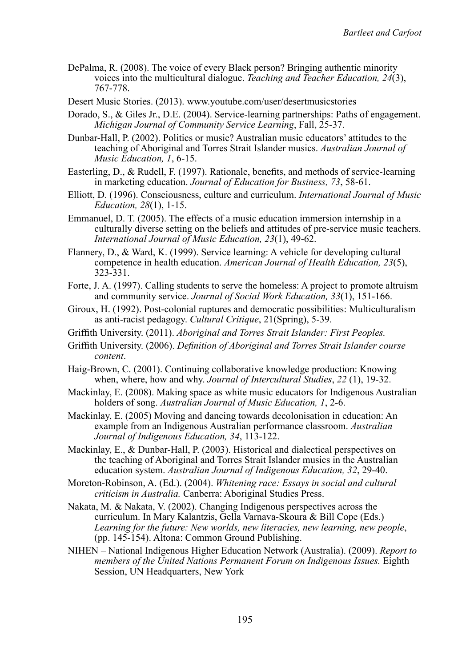- DePalma, R. (2008). The voice of every Black person? Bringing authentic minority voices into the multicultural dialogue. *Teaching and Teacher Education, 24*(3), 767-778.
- Desert Music Stories. (2013). www.youtube.com/user/desertmusicstories
- Dorado, S., & Giles Jr., D.E. (2004). Service-learning partnerships: Paths of engagement. *Michigan Journal of Community Service Learning*, Fall, 25-37.
- Dunbar-Hall, P. (2002). Politics or music? Australian music educators' attitudes to the teaching of Aboriginal and Torres Strait Islander musics. *Australian Journal of Music Education, 1*, 6-15.
- Easterling, D., & Rudell, F. (1997). Rationale, benefits, and methods of service-learning in marketing education. *Journal of Education for Business, 73*, 58-61.
- Elliott, D. (1996). Consciousness, culture and curriculum. *International Journal of Music Education, 28*(1), 1-15.
- Emmanuel, D. T. (2005). The effects of a music education immersion internship in a culturally diverse setting on the beliefs and attitudes of pre-service music teachers. *International Journal of Music Education, 23*(1), 49-62.
- Flannery, D., & Ward, K. (1999). Service learning: A vehicle for developing cultural competence in health education. *American Journal of Health Education, 23*(5), 323-331.
- Forte, J. A. (1997). Calling students to serve the homeless: A project to promote altruism and community service. *Journal of Social Work Education, 33*(1), 151-166.
- Giroux, H. (1992). Post-colonial ruptures and democratic possibilities: Multiculturalism as anti-racist pedagogy. *Cultural Critique*, 21(Spring), 5-39.
- Griffith University. (2011). *Aboriginal and Torres Strait Islander: First Peoples.*
- Griffith University. (2006). *Definition of Aboriginal and Torres Strait Islander course content*.
- Haig-Brown, C. (2001). Continuing collaborative knowledge production: Knowing when, where, how and why. *Journal of Intercultural Studies*, *22* (1), 19-32.
- Mackinlay, E. (2008). Making space as white music educators for Indigenous Australian holders of song. *Australian Journal of Music Education, 1*, 2-6.
- Mackinlay, E. (2005) Moving and dancing towards decolonisation in education: An example from an Indigenous Australian performance classroom. *Australian Journal of Indigenous Education, 34*, 113-122.
- Mackinlay, E., & Dunbar-Hall, P. (2003). Historical and dialectical perspectives on the teaching of Aboriginal and Torres Strait Islander musics in the Australian education system. *Australian Journal of Indigenous Education, 32*, 29-40.
- Moreton-Robinson, A. (Ed.). (2004). *Whitening race: Essays in social and cultural criticism in Australia.* Canberra: Aboriginal Studies Press.
- Nakata, M. & Nakata, V. (2002). Changing Indigenous perspectives across the curriculum. In Mary Kalantzis, Gella Varnava-Skoura & Bill Cope (Eds.) *Learning for the future: New worlds, new literacies, new learning, new people*, (pp. 145-154). Altona: Common Ground Publishing.
- NIHEN National Indigenous Higher Education Network (Australia). (2009). *Report to members of the United Nations Permanent Forum on Indigenous Issues.* Eighth Session, UN Headquarters, New York